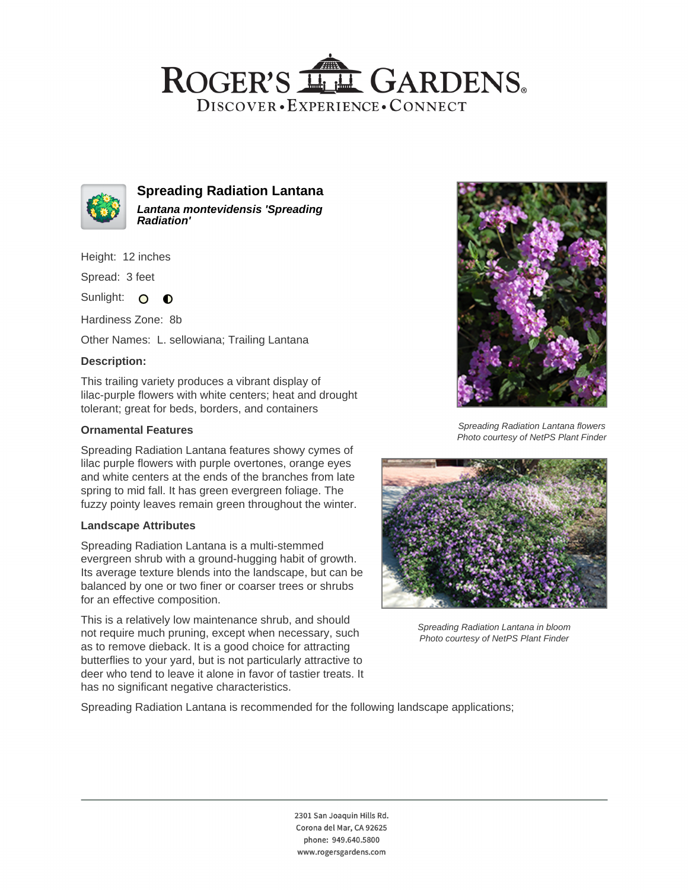## ROGER'S LL GARDENS. DISCOVER · EXPERIENCE · CONNECT



**Spreading Radiation Lantana Lantana montevidensis 'Spreading Radiation'**

Height: 12 inches

Spread: 3 feet

Sunlight: O  $\bullet$ 

Hardiness Zone: 8b

Other Names: L. sellowiana; Trailing Lantana

## **Description:**

This trailing variety produces a vibrant display of lilac-purple flowers with white centers; heat and drought tolerant; great for beds, borders, and containers

## **Ornamental Features**

Spreading Radiation Lantana features showy cymes of lilac purple flowers with purple overtones, orange eyes and white centers at the ends of the branches from late spring to mid fall. It has green evergreen foliage. The fuzzy pointy leaves remain green throughout the winter.

#### **Landscape Attributes**

Spreading Radiation Lantana is a multi-stemmed evergreen shrub with a ground-hugging habit of growth. Its average texture blends into the landscape, but can be balanced by one or two finer or coarser trees or shrubs for an effective composition.

This is a relatively low maintenance shrub, and should not require much pruning, except when necessary, such as to remove dieback. It is a good choice for attracting butterflies to your yard, but is not particularly attractive to deer who tend to leave it alone in favor of tastier treats. It has no significant negative characteristics.



Spreading Radiation Lantana flowers Photo courtesy of NetPS Plant Finder



Spreading Radiation Lantana in bloom Photo courtesy of NetPS Plant Finder

Spreading Radiation Lantana is recommended for the following landscape applications;

2301 San Joaquin Hills Rd. Corona del Mar, CA 92625 phone: 949.640.5800 www.rogersgardens.com